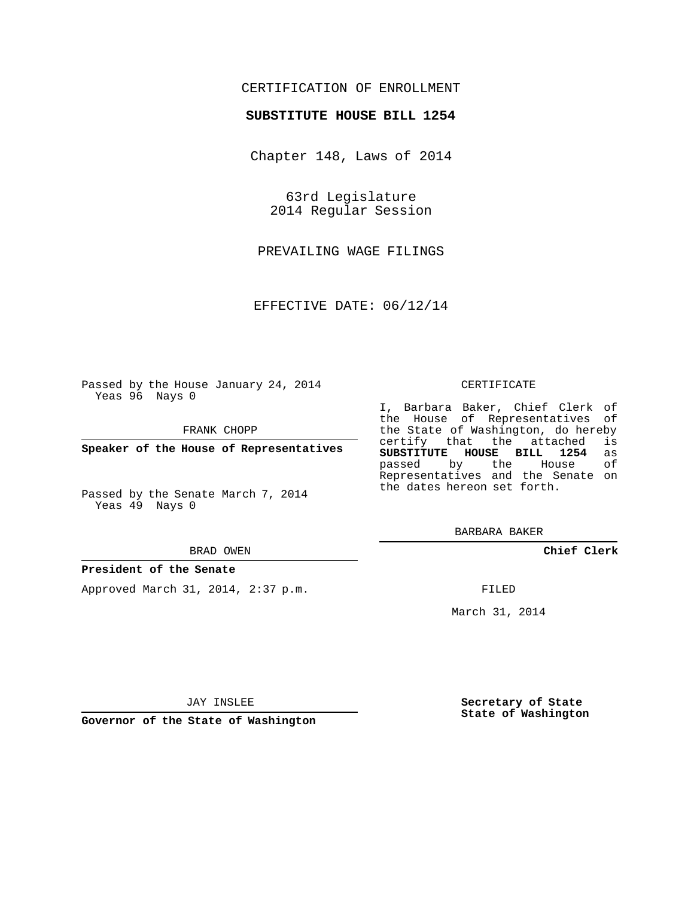## CERTIFICATION OF ENROLLMENT

### **SUBSTITUTE HOUSE BILL 1254**

Chapter 148, Laws of 2014

63rd Legislature 2014 Regular Session

PREVAILING WAGE FILINGS

EFFECTIVE DATE: 06/12/14

Passed by the House January 24, 2014 Yeas 96 Nays 0

FRANK CHOPP

**Speaker of the House of Representatives**

Passed by the Senate March 7, 2014 Yeas 49 Nays 0

#### BRAD OWEN

#### **President of the Senate**

Approved March 31, 2014, 2:37 p.m.

#### CERTIFICATE

I, Barbara Baker, Chief Clerk of the House of Representatives of the State of Washington, do hereby<br>certify that the attached is certify that the attached **SUBSTITUTE HOUSE BILL 1254** as passed by the Representatives and the Senate on the dates hereon set forth.

BARBARA BAKER

**Chief Clerk**

FILED

March 31, 2014

JAY INSLEE

**Governor of the State of Washington**

**Secretary of State State of Washington**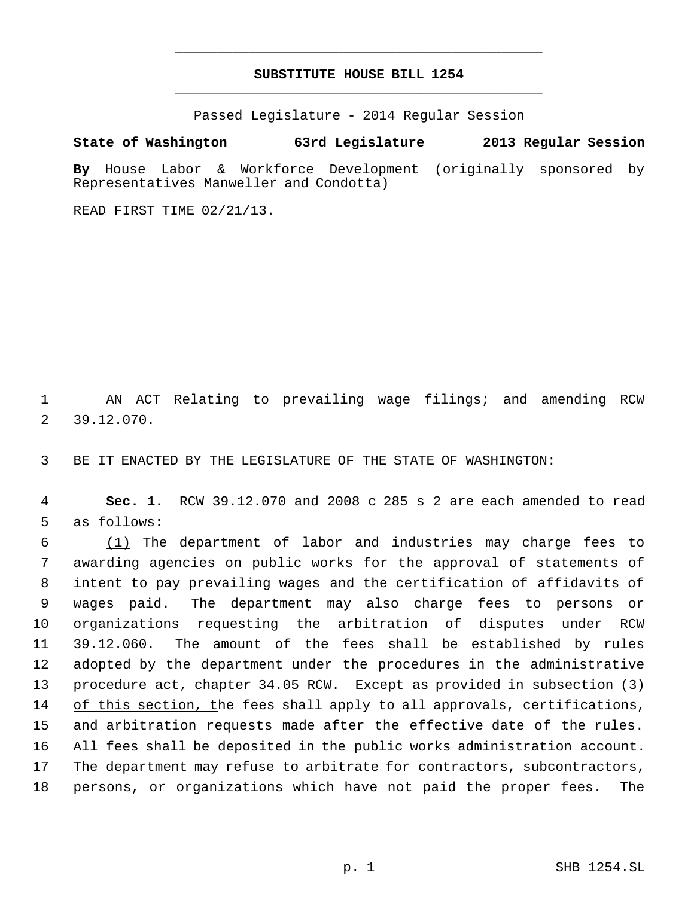# **SUBSTITUTE HOUSE BILL 1254** \_\_\_\_\_\_\_\_\_\_\_\_\_\_\_\_\_\_\_\_\_\_\_\_\_\_\_\_\_\_\_\_\_\_\_\_\_\_\_\_\_\_\_\_\_

\_\_\_\_\_\_\_\_\_\_\_\_\_\_\_\_\_\_\_\_\_\_\_\_\_\_\_\_\_\_\_\_\_\_\_\_\_\_\_\_\_\_\_\_\_

Passed Legislature - 2014 Regular Session

## **State of Washington 63rd Legislature 2013 Regular Session**

**By** House Labor & Workforce Development (originally sponsored by Representatives Manweller and Condotta)

READ FIRST TIME 02/21/13.

 1 AN ACT Relating to prevailing wage filings; and amending RCW 2 39.12.070.

3 BE IT ENACTED BY THE LEGISLATURE OF THE STATE OF WASHINGTON:

 4 **Sec. 1.** RCW 39.12.070 and 2008 c 285 s 2 are each amended to read 5 as follows:

 (1) The department of labor and industries may charge fees to awarding agencies on public works for the approval of statements of intent to pay prevailing wages and the certification of affidavits of wages paid. The department may also charge fees to persons or organizations requesting the arbitration of disputes under RCW 39.12.060. The amount of the fees shall be established by rules adopted by the department under the procedures in the administrative 13 procedure act, chapter 34.05 RCW. Except as provided in subsection (3) 14 of this section, the fees shall apply to all approvals, certifications, and arbitration requests made after the effective date of the rules. All fees shall be deposited in the public works administration account. The department may refuse to arbitrate for contractors, subcontractors, persons, or organizations which have not paid the proper fees. The